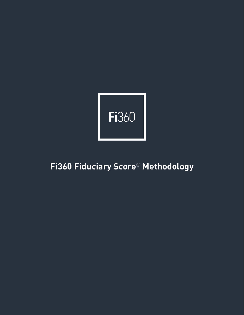

# **Fi360 Fiduciary Score**® **Methodology**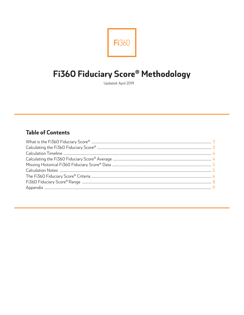

# Fi360 Fiduciary Score® Methodology

Updated: April 2019

# **Table of Contents**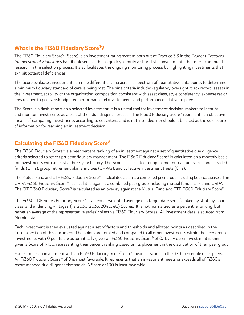# **What is the Fi360 Fiduciary Score®?**

The Fi360 Fiduciary Score® (Score) is an investment rating system born out of Practice 3.3 in the *Prudent Practices for Investment Fiduciaries* handbook series. It helps quickly identify a short list of investments that merit continued research in the selection process. It also facilitates the ongoing monitoring process by highlighting investments that exhibit potential deficiencies.

The Score evaluates investments on nine different criteria across a spectrum of quantitative data points to determine a minimum fiduciary standard of care is being met. The nine criteria include: regulatory oversight, track record, assets in the investment, stability of the organization, composition consistent with asset class, style consistency, expense ratio/ fees relative to peers, risk-adjusted performance relative to peers, and performance relative to peers.

The Score is a flash-report on a selected investment. It is a useful tool for investment decision-makers to identify and monitor investments as a part of their due diligence process. The Fi360 Fiduciary Score® represents an objective means of comparing investments according to set criteria and is not intended, nor should it be used as the sole source of information for reaching an investment decision.

# **Calculating the Fi360 Fiduciary Score®**

The Fi360 Fiduciary Score® is a peer percent ranking of an investment against a set of quantitative due diligence criteria selected to reflect prudent fiduciary management. The Fi360 Fiduciary Score® is calculated on a monthly basis for investments with at least a three-year history. The Score is calculated for open end mutual funds, exchange-traded funds (ETFs), group retirement plan annuities (GRPAs), and collective investment trusts (CITs).

The Mutual Fund and ETF Fi360 Fiduciary Score® is calculated against a combined peer group including both databases. The GRPA Fi360 Fiduciary Score® is calculated against a combined peer group including mutual funds, ETFs and GRPAs. The CIT Fi360 Fiduciary Score® is calculated as an overlay against the Mutual Fund and ETF Fi360 Fiduciary Score®.

The Fi360 TDF Series Fiduciary Score™ is an equal-weighted average of a target date series', linked by strategy, shareclass, and underlying vintages' (i.e. 2030, 2035, 2040, etc) Scores. It is not normalized as a percentile ranking, but rather an average of the representative series' collective Fi360 Fiduciary Scores. All investment data is sourced from Morningstar.

Each investment is then evaluated against a set of factors and thresholds and allotted points as described in the Criteria section of this document. The points are totaled and compared to all other investments within the peer group. Investments with 0 points are automatically given an Fi360 Fiduciary Score® of 0. Every other investment is then given a Score of 1-100, representing their percent ranking based on its placement in the distribution of their peer group.

For example, an investment with an Fi360 Fiduciary Score® of 37 means it scores in the 37th percentile of its peers. An Fi360 Fiduciary Score® of 0 is most favorable. It represents that an investment meets or exceeds all of Fi360's recommended due diligence thresholds. A Score of 100 is least favorable.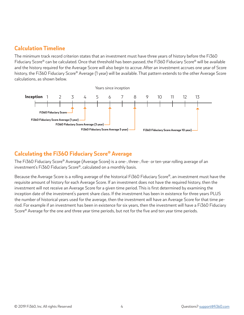## **Calculation Timeline**

The minimum track record criterion states that an investment must have three years of history before the Fi360 Fiduciary Score® can be calculated. Once that threshold has been passed, the Fi360 Fiduciary Score® will be available and the history required for the Average Score will also begin to accrue. After an investment accrues one year of Score history, the Fi360 Fiduciary Score® Average (1 year) will be available. That pattern extends to the other Average Score calculations, as shown below.



# **Calculating the Fi360 Fiduciary Score® Average**

The Fi360 Fiduciary Score® Average (Average Score) is a one-, three-, five- or ten-year rolling average of an investment's Fi360 Fiduciary Score®, calculated on a monthly basis.

Because the Average Score is a rolling average of the historical Fi360 Fiduciary Score®, an investment must have the requisite amount of history for each Average Score. If an investment does not have the required history, then the investment will not receive an Average Score for a given time period. This is first determined by examining the inception date of the investment's parent share class. If the investment has been in existence for three years PLUS the number of historical years used for the average, then the investment will have an Average Score for that time period. For example if an investment has been in existence for six years, then the investment will have a Fi360 Fiduciary Score® Average for the one and three year time periods, but not for the five and ten year time periods.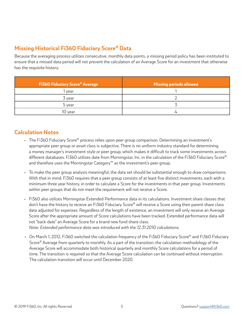# **Missing Historical Fi360 Fiduciary Score® Data**

Because the averaging process utilizes consecutive, monthly data points, a missing period policy has been instituted to ensure that a missed data period will not prevent the calculation of an Average Score for an investment that otherwise has the requisite history.

| <b>Fi360 Fiduciary Score® Average</b> | <b>Missing periods allowed</b> |
|---------------------------------------|--------------------------------|
| l year                                |                                |
| 3 year                                |                                |
| 5 year                                |                                |
| 10 year                               |                                |

### **Calculation Notes**

- The Fi360 Fiduciary Score® process relies upon peer group comparison. Determining an investment's appropriate peer group or asset class is subjective. There is no uniform industry standard for determining a money manager's investment style or peer group, which makes it difficult to track some investments across different databases. Fi360 utilizes date from Morningstar, Inc. in the calculation of the Fi360 Fiduciary Score® and therefore uses the Morningstar Category™ as the investment's peer group.
- To make the peer group analysis meaningful, the data set should be substantial enough to draw comparisons. With that in mind, Fi360 requires that a peer group consists of at least five distinct investments, each with a minimum three year history, in order to calculate a Score for the investments in that peer group. Investments within peer groups that do not meet the requirement will not receive a Score.
- Fi360 also utilizes Morningstar Extended Performance data in its calculations. Investment share classes that don't have the history to receive an Fi360 Fiduciary Score® will receive a Score using their parent share class data adjusted for expenses. Regardless of the length of existence, an investment will only receive an Average Score after the appropriate amount of Score calculations have been tracked. Extended performance data will not "back-date" an Average Score for a brand new fund share class.

*Note: Extended performance data was introduced with the 12.31.2010 calculations.*

• On March 1, 2012, Fi360 switched the calculation frequency of the Fi360 Fiduciary Score® and Fi360 Fiduciary Score<sup>®</sup> Average from quarterly to monthly. As a part of the transition, the calculation methodology of the Average Score will accommodate both historical quarterly and monthly Score calculations for a period of time. The transition is required so that the Average Score calculation can be continued without interruption. The calculation transition will occur until December 2020.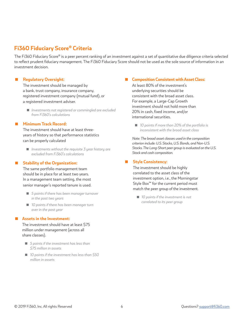## **Fi360 Fiduciary Score® Criteria**

The Fi360 Fiduciary Score® is a peer percent ranking of an investment against a set of quantitative due diligence criteria selected to reflect prudent fiduciary management. The Fi360 Fiduciary Score should not be used as the sole source of information in an investment decision.

#### **Regulatory Oversight:**

The investment should be managed by a bank, trust company, insurance company, registered investment company (mutual fund), or a registered investment adviser.

 *Investments not registered or commingled are excluded from Fi360's calculations*

### **Minimum Track Record:**

 The investment should have at least three years of history so that performance statistics can be properly calculated

 *Investments without the requisite 3 year history are excluded from Fi360's calculations*

#### **Stability of the Organization:**

 The same portfolio management team should be in place for at least two years. In a management team setting, the most senior manager's reported tenure is used.

- *5 points if there has been manager turnover in the past two years*
- *10 points if there has been manager turn over in the past year*

#### **Assets in the Investment:**

The investment should have at least \$75 million under management (across all share classes).

- *5 points if the investment has less than \$75 million in assets*
- *10 points if the investment has less than \$50 million in assets*

#### **Composition Consistent with Asset Class:**

At least 80% of the investment's underlying securities should be consistent with the broad asset class. For example, a Large-Cap Growth investment should not hold more than 20% in cash, fixed income, and/or international securities.

■ 10 points if more than 20% of the portfolio is *inconsistent with the broad asset class*

*Note: The broad asset classes used in the composition criterion include: U.S. Stocks, U.S. Bonds, and Non-U.S. Stocks. The Long-Short peer group is evaluated on the U.S. Stock and cash composition.*

#### **Style Consistency:**

 The investment should be highly correlated to the asset class of the investment option, i.e., the Morningstar Style Box™ for the current period must match the peer group of the investment.

 *10 points if the investment is not correlated to its peer group*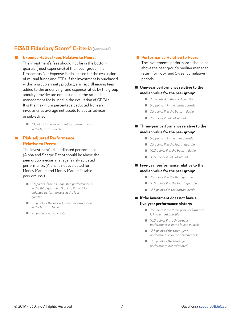## **Fi360 Fiduciary Score® Criteria (continued)**

#### **Expense Ratios/Fees Relative to Peers:**

 The investment's fees should not be in the bottom quartile (most expensive) of their peer group. The Prospectus Net Expense Ratio is used for the evaluation of mutual funds and ETFs. If the investment is purchased within a group annuity product, any recordkeeping fees added to the underlying fund expense ratios by the group annuity provider are not included in the ratio. The management fee is used in the evaluation of GRPAs. It is the maximum percentage deducted from an investment's average net assets to pay an advisor or sub-advisor.

■ 10 points if the investment's expense ratio is *in the bottom quartile*

### **Risk-adjusted Performance Relative to Peers:**

The investment's risk-adjusted performance (Alpha and Sharpe Ratio) should be above the peer group median manager's risk-adjusted performance. (Alpha is not evaluated for Money Market and Money Market Taxable peer groups.)

- 2.5 points if the risk-adjusted performance is *in the third quartile 5.0 points if the riskadjusted performance is in the fourth quartile*
- 7.5 points if the risk-adjusted performance is *in the bottom decile*
- *7.5 points if not calculated*

#### **Performance Relative to Peers:**

The investments performance should be above the peer group's median manager return for 1-, 3-, and 5-year cumulative periods.

### ■ One-year performance relative to the **median value for the peer group:**

- *2.5 points if in the third quartile*
- *5.0 points if in the fourth quartile*
- *7.5 points if in the bottom decile*
- *7.5 points if not calculated*

### ■ Three-year performance relative to the **median value for the peer group:**

- *5.0 points if in the third quartile*
- *7.5 points if in the fourth quartile*
- *10.0 points if in the bottom decile*
- *10.0 points if not calculated*

### **Five-year performance relative to the median value for the peer group:**

- *7.5 points if in the third quartile*
- *10.0 points if in the fourth quartile*
- *12.5 points if in the bottom decile*
- **If the investment does not have a five-year performance history:**
	- *7.5 points if the three-year performance is in the third quartile*
	- *10.0 points if the three-year performance is in the fourth quartile*
	- *12.5 points if the three-year performance is in the bottom decile*
	- *12.5 points if the three-year performance not calculated*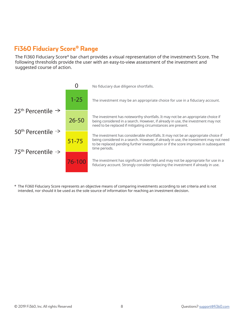# **Fi360 Fiduciary Score® Range**

The Fi360 Fiduciary Score® bar chart provides a visual representation of the investment's Score. The following thresholds provide the user with an easy-to-view assessment of the investment and suggested course of action.



\* The Fi360 Fiduciary Score represents an objective means of comparing investments according to set criteria and is not intended, nor should it be used as the sole source of information for reaching an investment decision.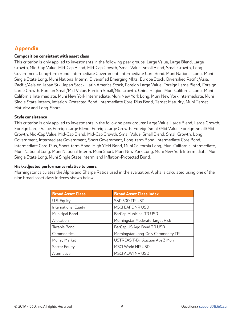# **Appendix**

### **Composition consistent with asset class**

This criterion is only applied to investments in the following peer groups: Large Value, Large Blend, Large Growth, Mid-Cap Value, Mid-Cap Blend, Mid-Cap Growth, Small Value, Small Blend, Small Growth, Long Government, Long-term Bond, Intermediate Government, Intermediate Core Bond, Muni National Long, Muni Single State Long, Muni National Interm, Diversified Emerging Mkts, Europe Stock, Diversified Pacific/Asia, Pacific/Asia ex-Japan Stk, Japan Stock, Latin America Stock, Foreign Large Value, Foreign Large Blend, Foreign Large Growth, Foreign Small/Mid Value, Foreign Small/Mid Growth, China Region, Muni California Long, Muni California Intermediate, Muni New York Intermediate, Muni New York Long, Muni New York Intermediate, Muni Single State Interm, Inflation-Protected Bond, Intermediate Core-Plus Bond, Target Maturity, Muni Target Maturity and Long-Short.

### **Style consistency**

This criterion is only applied to investments in the following peer groups: Large Value, Large Blend, Large Growth, Foreign Large Value, Foreign Large Blend, Foreign Large Growth, Foreign Small/Mid Value, Foreign Small/Mid Growth, Mid-Cap Value, Mid-Cap Blend, Mid-Cap Growth, Small Value, Small Blend, Small Growth, Long Government, Intermediate Government, Short Government, Long-term Bond, Intermediate Core Bond, Intermediate Core-Plus, Short-term Bond, High Yield Bond, Muni California Long, Muni California Intermediate, Muni National Long, Muni National Interm, Muni Short, Muni New York Long, Muni New York Intermediate, Muni Single State Long, Muni Single State Interm, and Inflation-Protected Bond.

### **Risk-adjusted performance relative to peers**

Morningstar calculates the Alpha and Sharpe Ratios used in the evaluation. Alpha is calculated using one of the nine broad asset class indexes shown below.

| <b>Broad Asset Class</b> | <b>Broad Asset Class Index</b>          |
|--------------------------|-----------------------------------------|
| U.S. Equity              | <b>S&amp;P 500 TR USD</b>               |
| International Equity     | MSCI EAFE NR USD                        |
| Municipal Bond           | <b>BarCap Municipal TR USD</b>          |
| Allocation               | Morningstar Moderate Target Risk        |
| Taxable Bond             | BarCap US Agg Bond TR USD               |
| Commodities              | Morningstar Long-Only Commodity TR      |
| Money Market             | <b>USTREAS T-Bill Auction Ave 3 Mon</b> |
| Sector Equity            | MSCI World NR USD                       |
| Alternative              | MSCI ACWI NR USD                        |